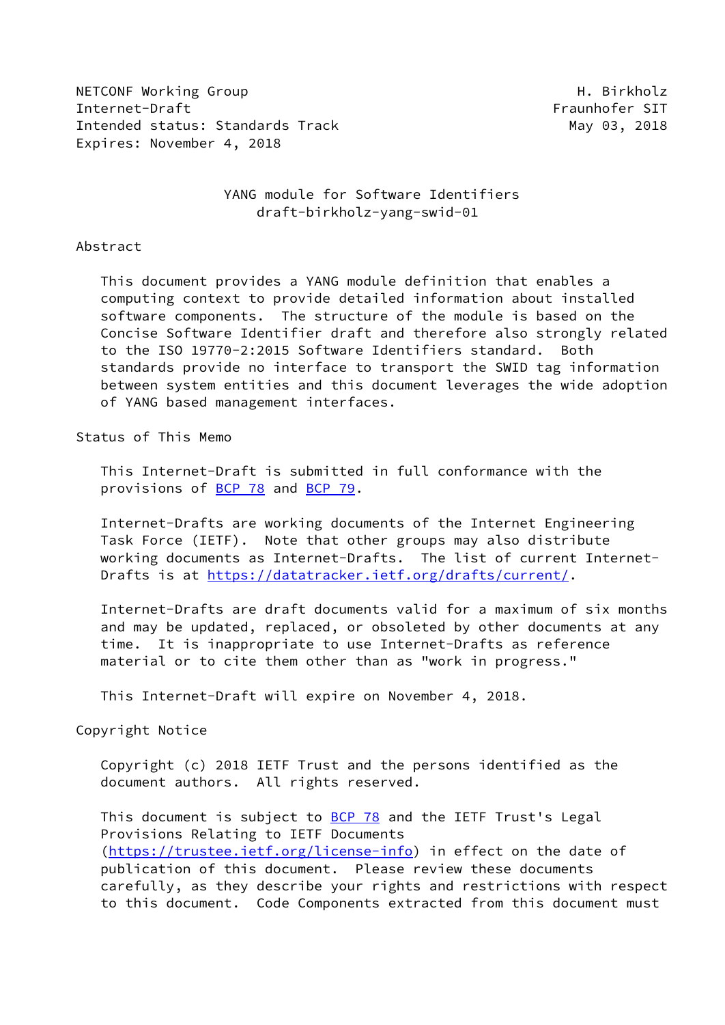NETCONF Working Group Network and the University of the Material H. Birkholz Internet-Draft Fraunhofer SIT Intended status: Standards Track May 03, 2018 Expires: November 4, 2018

## YANG module for Software Identifiers draft-birkholz-yang-swid-01

#### Abstract

 This document provides a YANG module definition that enables a computing context to provide detailed information about installed software components. The structure of the module is based on the Concise Software Identifier draft and therefore also strongly related to the ISO 19770-2:2015 Software Identifiers standard. Both standards provide no interface to transport the SWID tag information between system entities and this document leverages the wide adoption of YANG based management interfaces.

### Status of This Memo

 This Internet-Draft is submitted in full conformance with the provisions of **BCP 78** and **BCP 79**.

 Internet-Drafts are working documents of the Internet Engineering Task Force (IETF). Note that other groups may also distribute working documents as Internet-Drafts. The list of current Internet Drafts is at<https://datatracker.ietf.org/drafts/current/>.

 Internet-Drafts are draft documents valid for a maximum of six months and may be updated, replaced, or obsoleted by other documents at any time. It is inappropriate to use Internet-Drafts as reference material or to cite them other than as "work in progress."

This Internet-Draft will expire on November 4, 2018.

## Copyright Notice

 Copyright (c) 2018 IETF Trust and the persons identified as the document authors. All rights reserved.

This document is subject to **[BCP 78](https://datatracker.ietf.org/doc/pdf/bcp78)** and the IETF Trust's Legal Provisions Relating to IETF Documents [\(https://trustee.ietf.org/license-info](https://trustee.ietf.org/license-info)) in effect on the date of publication of this document. Please review these documents carefully, as they describe your rights and restrictions with respect to this document. Code Components extracted from this document must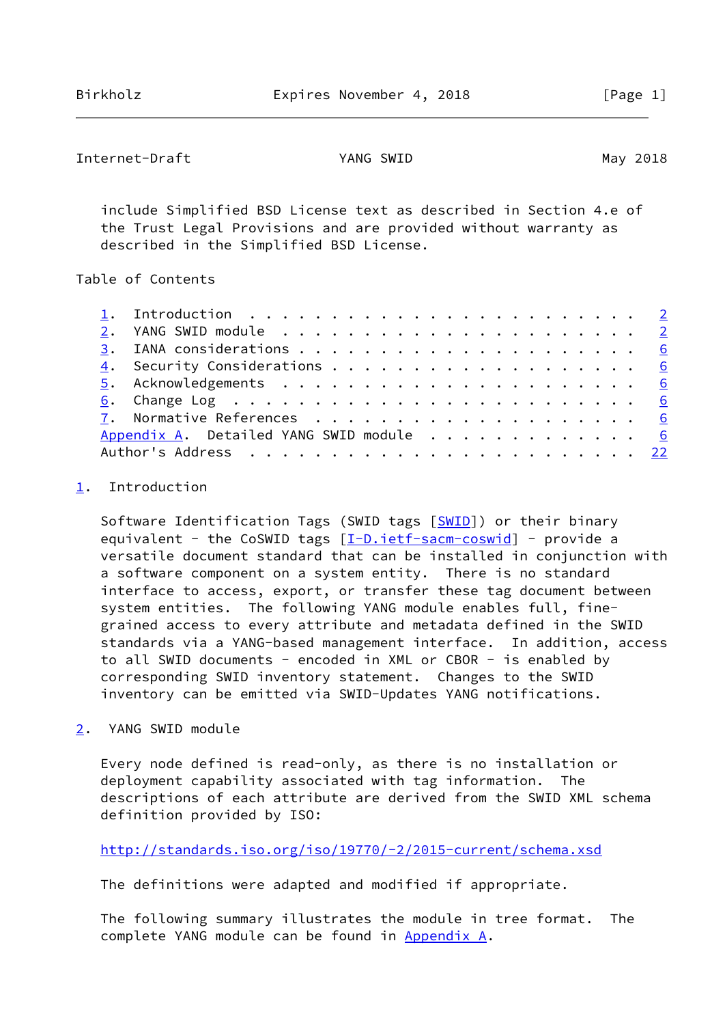```
Internet-Draft YANG SWID May 2018
```
 include Simplified BSD License text as described in Section 4.e of the Trust Legal Provisions and are provided without warranty as described in the Simplified BSD License.

Table of Contents

|  | 1. Introduction $\ldots \ldots \ldots \ldots \ldots \ldots \ldots \ldots$ |  |
|--|---------------------------------------------------------------------------|--|
|  |                                                                           |  |
|  |                                                                           |  |
|  |                                                                           |  |
|  |                                                                           |  |
|  |                                                                           |  |
|  |                                                                           |  |
|  | Appendix A. Detailed YANG SWID module 6                                   |  |
|  |                                                                           |  |

# <span id="page-1-0"></span>[1](#page-1-0). Introduction

Software Identification Tags (SWID tags [\[SWID](#page-6-5)]) or their binary equivalent - the CoSWID tags [\[I-D.ietf-sacm-coswid](#page-6-6)] - provide a versatile document standard that can be installed in conjunction with a software component on a system entity. There is no standard interface to access, export, or transfer these tag document between system entities. The following YANG module enables full, fine grained access to every attribute and metadata defined in the SWID standards via a YANG-based management interface. In addition, access to all SWID documents - encoded in XML or CBOR - is enabled by corresponding SWID inventory statement. Changes to the SWID inventory can be emitted via SWID-Updates YANG notifications.

<span id="page-1-2"></span>[2](#page-1-2). YANG SWID module

 Every node defined is read-only, as there is no installation or deployment capability associated with tag information. The descriptions of each attribute are derived from the SWID XML schema definition provided by ISO:

<http://standards.iso.org/iso/19770/-2/2015-current/schema.xsd>

The definitions were adapted and modified if appropriate.

 The following summary illustrates the module in tree format. The complete YANG module can be found in [Appendix A.](#page-6-4)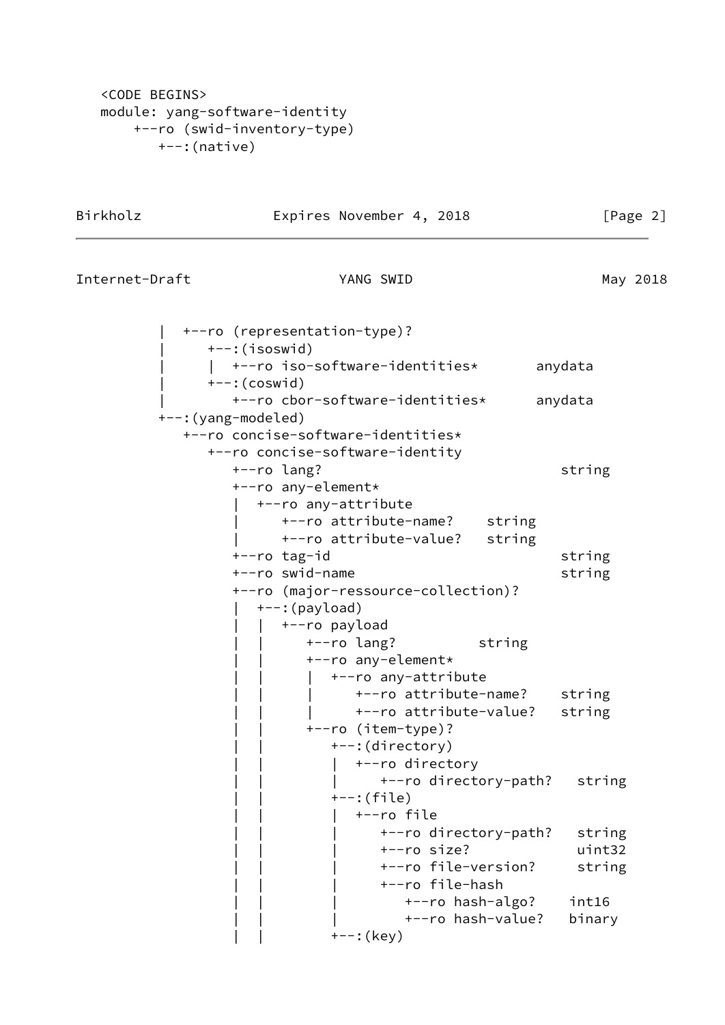```
 <CODE BEGINS>
 module: yang-software-identity
     +--ro (swid-inventory-type)
        +--:(native)
```
#### Birkholz **Expires November 4, 2018** [Page 2]

|  |  | Internet-Draft |  |  |
|--|--|----------------|--|--|
|--|--|----------------|--|--|

YANG SWID May 2018

 | +--ro (representation-type)? | +--:(isoswid) | | +--ro iso-software-identities\* anydata  $---:(coswid)$  | +--ro cbor-software-identities\* anydata +--:(yang-modeled) +--ro concise-software-identities\* +--ro concise-software-identity +--ro lang? string +--ro any-element\* | +--ro any-attribute | +--ro attribute-name? string | +--ro attribute-value? string +--ro tag-id string +--ro swid-name string +--ro (major-ressource-collection)?  $+-:$ (payload) | | +--ro payload | | +--ro lang? string | | +--ro any-element\* | | | +--ro any-attribute +--ro attribute-name? string | | | +--ro attribute-value? string | | +--ro (item-type)? | | +--:(directory) | | | +--ro directory | | | +--ro directory-path? string  $+--:$ (file) | | | +--ro file | | | +--ro directory-path? string | | | +--ro size? uint32 | | | +--ro file-version? string | | | +--ro file-hash | | | +--ro hash-algo? int16 | | | +--ro hash-value? binary  $+--:$  (key)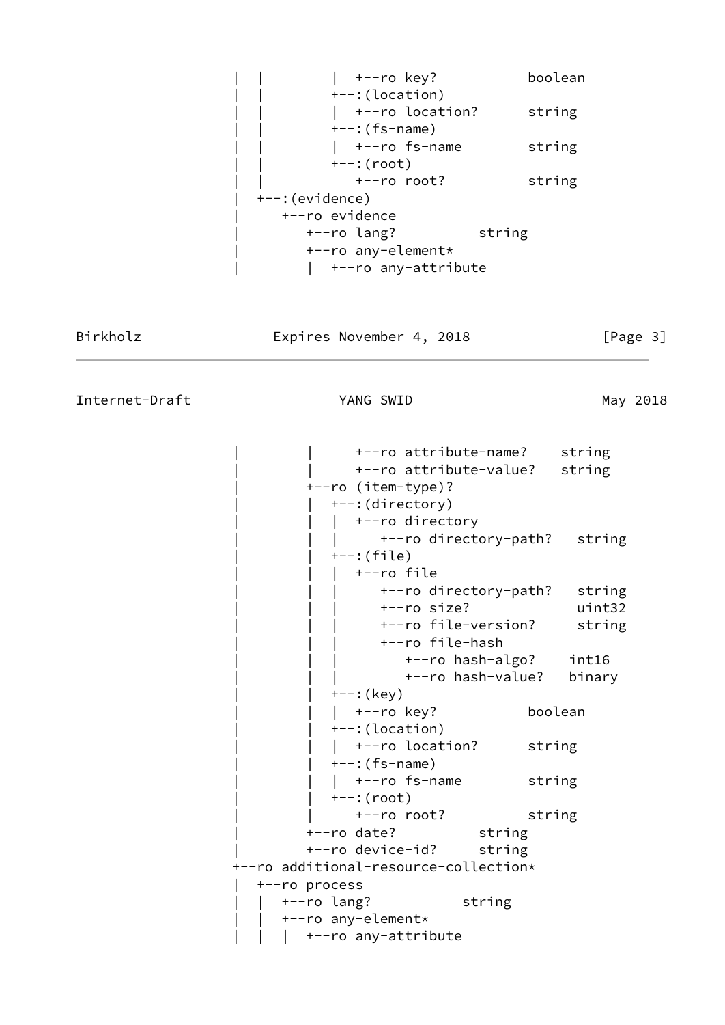|  $+ -r$ o key? boolean | | +--:(location) | +--ro location? string  $---:$ (fs-name)  $|$  +--ro fs-name string | | +--:(root) | | +--ro root? string | +--:(evidence) | +--ro evidence | +--ro lang? string | +--ro any-element\* | | +--ro any-attribute

Birkholz **Expires November 4, 2018** [Page 3]

Internet-Draft YANG SWID May 2018

 | | +--ro attribute-name? string | | +--ro attribute-value? string | +--ro (item-type)? | | +--:(directory) | +--ro directory | | | +--ro directory-path? string | | +--:(file) | | | +--ro file | | | +--ro directory-path? string | | | +--ro size? uint32 | | | +--ro file-version? string | | | +--ro file-hash | | | +--ro hash-algo? int16 | | | +--ro hash-value? binary | | +--:(key) | +--ro key? boolean | | +--:(location) | +--ro location? string  $---:$ (fs-name) | +--ro fs-name string | | +--:(root) | | +--ro root? string | +--ro date? string | +--ro device-id? string +--ro additional-resource-collection\* | +--ro process | | +--ro lang? string | | +--ro any-element\* | +--ro any-attribute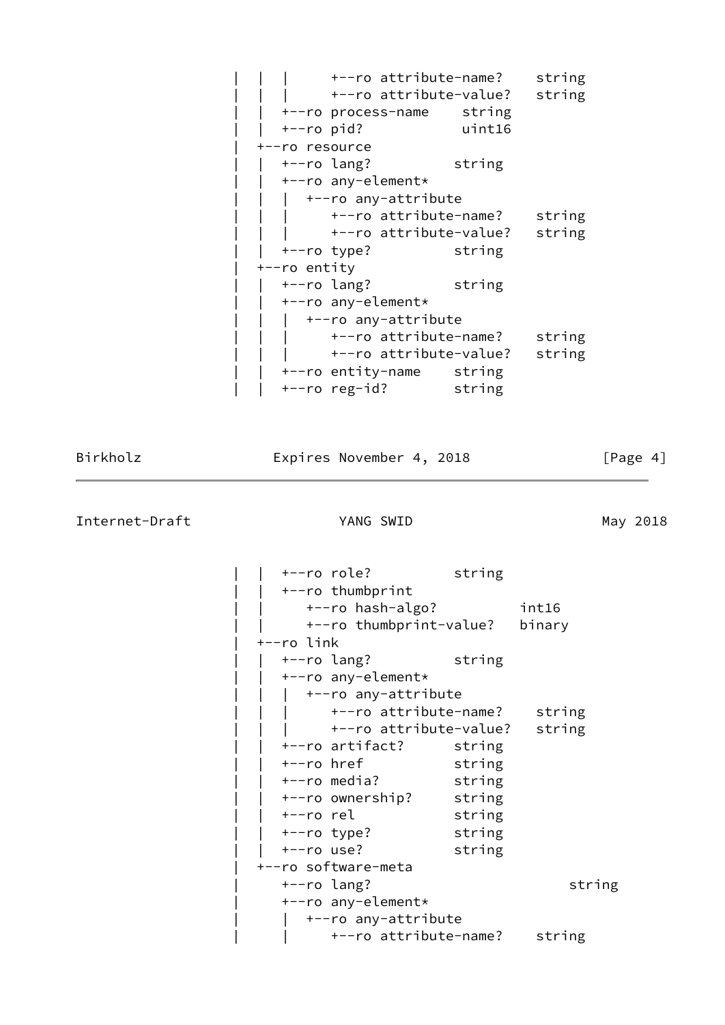|                | +--ro attribute-name?    |        | string |
|----------------|--------------------------|--------|--------|
|                | +--ro attribute-value?   |        | string |
|                | +--ro process-name       | string |        |
| $+--ro$ pid?   |                          | uint16 |        |
| +--ro resource |                          |        |        |
|                | +--ro lang?              | string |        |
|                | +--ro any-element*       |        |        |
|                | +--ro any-attribute      |        |        |
|                | +--ro attribute-name?    |        | string |
|                | +--ro attribute-value?   |        | string |
|                | +--ro type?              | string |        |
| +--ro entity   |                          |        |        |
|                | +--ro lang?              | string |        |
|                | +--ro any-element*       |        |        |
|                | +--ro any-attribute      |        |        |
|                | +--ro attribute-name?    |        | string |
|                | +--ro attribute-value?   |        | string |
|                | +--ro entity-name string |        |        |
|                | +--ro reg-id? string     |        |        |

Birkholz **Expires November 4, 2018** [Page 4]

Internet-Draft YANG SWID YANG AND May 2018

 | | +--ro role? string | | +--ro thumbprint | | +--ro hash-algo? int16 | | +--ro thumbprint-value? binary | +--ro link | | +--ro lang? string | | +--ro any-element\* | +--ro any-attribute +--ro attribute-name? string | | | +--ro attribute-value? string +--ro artifact? string +--ro href string | | +--ro media? string | | +--ro ownership? string | | +--ro rel string | | +--ro type? string | | +--ro use? string | +--ro software-meta | +--ro lang? string | +--ro any-element\* | +--ro any-attribute | | +--ro attribute-name? string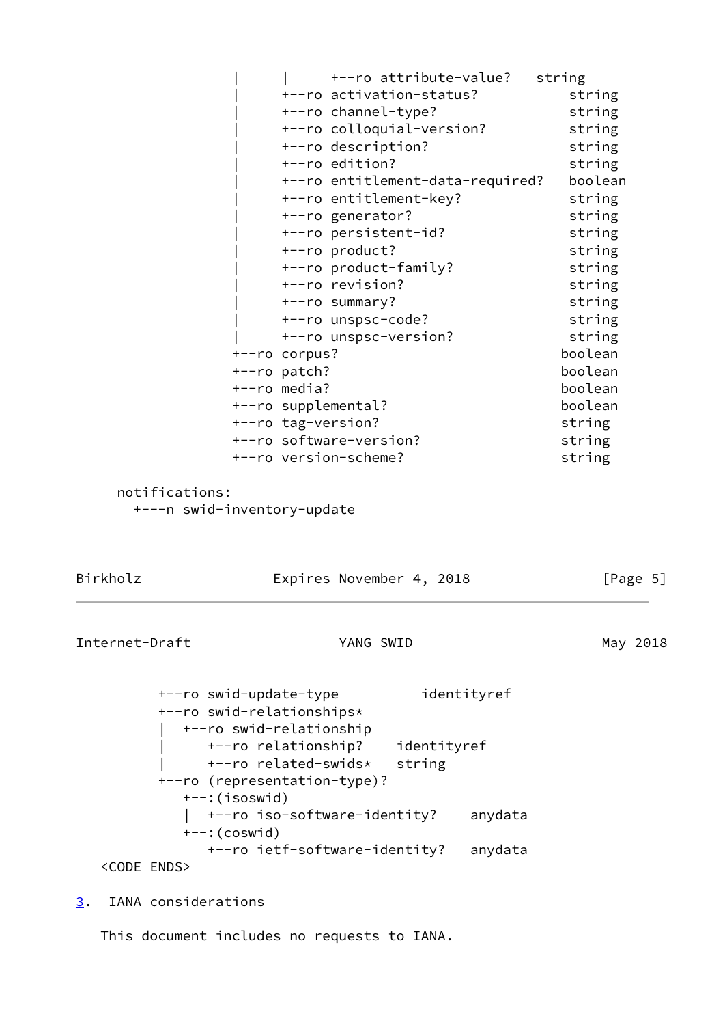| +--ro attribute-value?           | string  |
|----------------------------------|---------|
| +--ro activation-status?         | string  |
| +--ro channel-type?              | string  |
| +--ro colloquial-version?        | string  |
| +--ro description?               | string  |
| +--ro edition?                   | string  |
| +--ro entitlement-data-required? | boolean |
| +--ro entitlement-key?           | string  |
| +--ro generator?                 | string  |
| +--ro persistent-id?             | string  |
| +--ro product?                   | string  |
| +--ro product-family?            | string  |
| +--ro revision?                  | string  |
| +--ro summary?                   | string  |
| +--ro unspsc-code?               | string  |
| +--ro unspsc-version?            | string  |
| $+--ro$ corpus?                  | boolean |
| $+--ro$ patch?                   | boolean |
| +--ro media?                     | boolean |
| +--ro supplemental?              | boolean |
| +--ro tag-version?               | string  |
| +--ro software-version?          | string  |
| +--ro version-scheme?            | string  |

```
 notifications:
```
+---n swid-inventory-update

<span id="page-5-1"></span>

| Birkholz       |                                                     | Expires November 4, 2018<br>YANG SWID |  |
|----------------|-----------------------------------------------------|---------------------------------------|--|
| Internet-Draft |                                                     |                                       |  |
|                | +--ro swid-update-type<br>+--ro swid-relationships* | identityref                           |  |
|                | +--ro swid-relationship<br>+--ro relationship?      | identityref                           |  |

 | +--ro related-swids\* string +--ro (representation-type)? +--:(isoswid) | +--ro iso-software-identity? anydata +--:(coswid) +--ro ietf-software-identity? anydata <CODE ENDS>

<span id="page-5-0"></span>[3](#page-5-0). IANA considerations

This document includes no requests to IANA.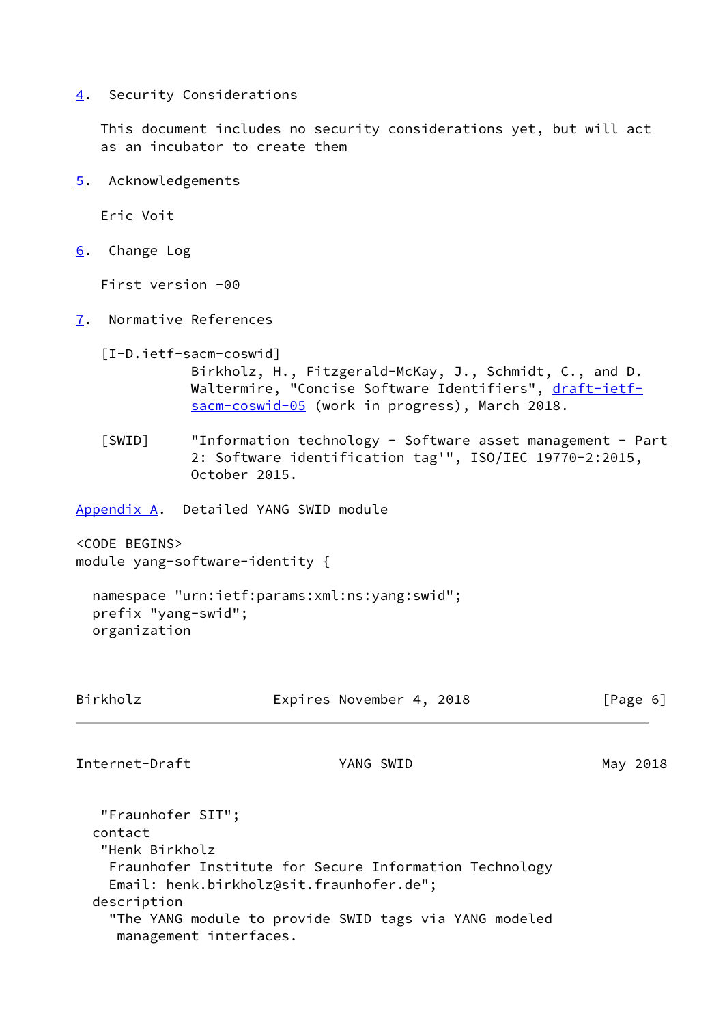<span id="page-6-0"></span>[4](#page-6-0). Security Considerations

 This document includes no security considerations yet, but will act as an incubator to create them

<span id="page-6-1"></span>[5](#page-6-1). Acknowledgements

Eric Voit

<span id="page-6-2"></span>[6](#page-6-2). Change Log

First version -00

<span id="page-6-3"></span>[7](#page-6-3). Normative References

<span id="page-6-6"></span>[I-D.ietf-sacm-coswid]

 Birkholz, H., Fitzgerald-McKay, J., Schmidt, C., and D. Waltermire, "Concise Software Identifiers", [draft-ietf](https://datatracker.ietf.org/doc/pdf/draft-ietf-sacm-coswid-05) [sacm-coswid-05](https://datatracker.ietf.org/doc/pdf/draft-ietf-sacm-coswid-05) (work in progress), March 2018.

<span id="page-6-5"></span> [SWID] "Information technology - Software asset management - Part 2: Software identification tag'", ISO/IEC 19770-2:2015, October 2015.

<span id="page-6-4"></span>[Appendix A.](#page-6-4) Detailed YANG SWID module

<CODE BEGINS> module yang-software-identity {

 namespace "urn:ietf:params:xml:ns:yang:swid"; prefix "yang-swid"; organization

| Birkholz                                       | Expires November 4, 2018                                                                           | [Page 6] |
|------------------------------------------------|----------------------------------------------------------------------------------------------------|----------|
| Internet-Draft                                 | YANG SWID                                                                                          | May 2018 |
| "Fraunhofer SIT";<br>contact<br>"Henk Birkholz |                                                                                                    |          |
|                                                | Fraunhofer Institute for Secure Information Technology<br>Email: henk.birkholz@sit.fraunhofer.de"; |          |

 description "The YANG module to provide SWID tags via YANG modeled management interfaces.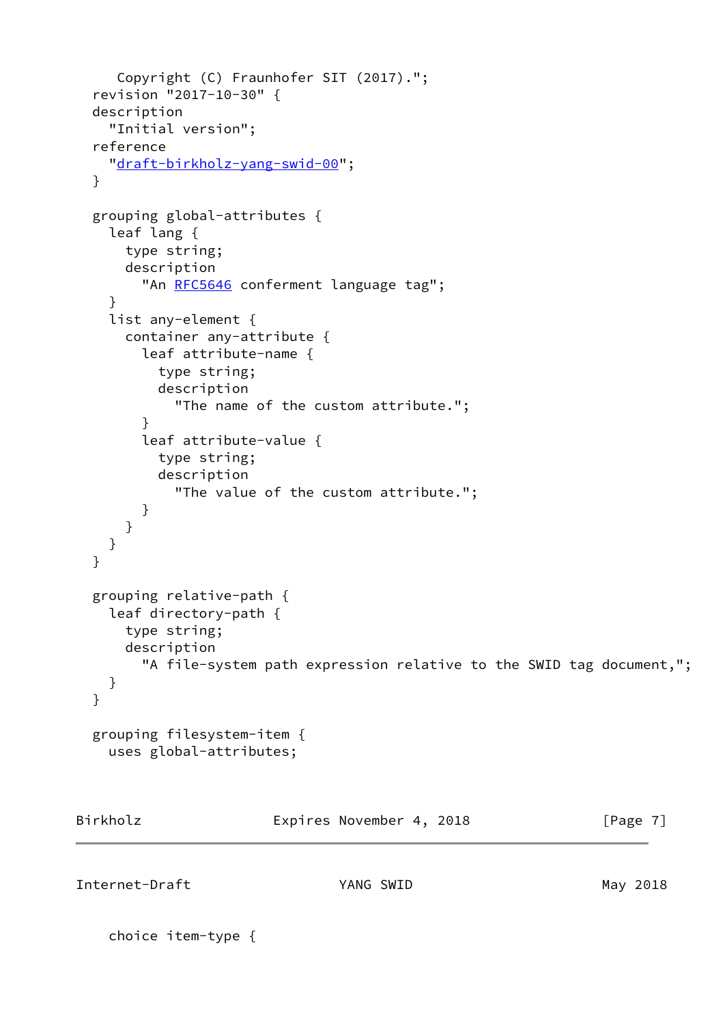```
 Copyright (C) Fraunhofer SIT (2017).";
   revision "2017-10-30" {
   description
     "Initial version";
   reference
     "draft-birkholz-yang-swid-00";
   }
   grouping global-attributes {
     leaf lang {
       type string;
       description
         RFC5646 conferment language tag";
     }
     list any-element {
       container any-attribute {
         leaf attribute-name {
           type string;
           description
             "The name of the custom attribute.";
         }
         leaf attribute-value {
           type string;
           description
             "The value of the custom attribute.";
         }
      }
     }
   }
   grouping relative-path {
     leaf directory-path {
       type string;
       description
         "A file-system path expression relative to the SWID tag document,";
     }
   }
   grouping filesystem-item {
     uses global-attributes;
Birkholz Expires November 4, 2018 [Page 7]
```
Internet-Draft **YANG SWID** May 2018

choice item-type {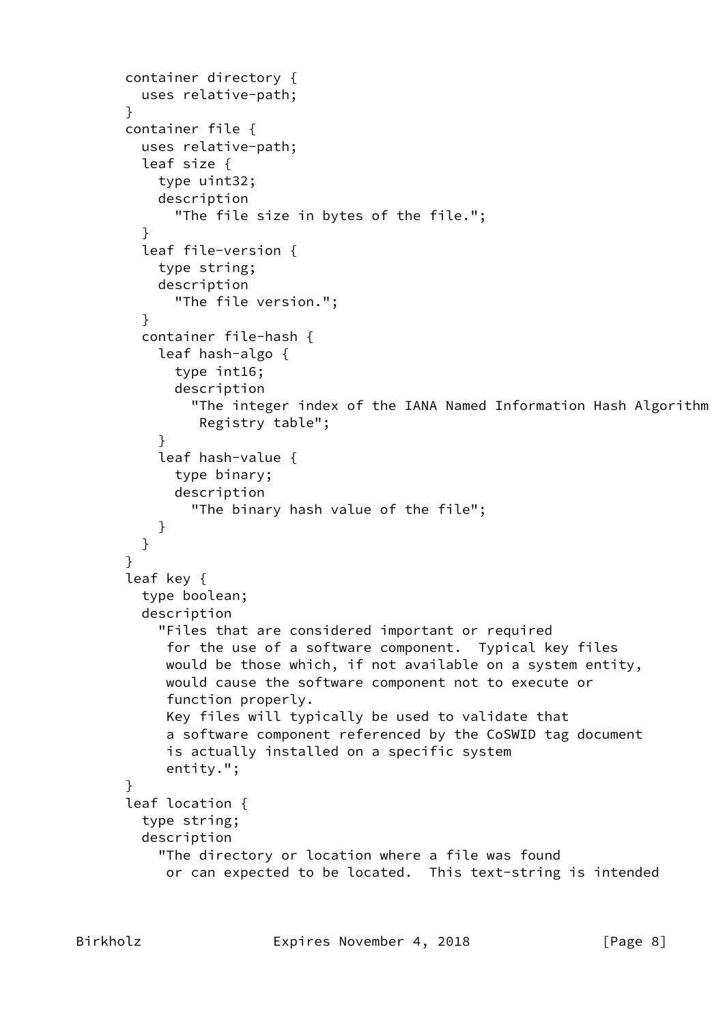```
 container directory {
         uses relative-path;
       }
       container file {
         uses relative-path;
         leaf size {
           type uint32;
           description
             "The file size in bytes of the file.";
         }
         leaf file-version {
           type string;
           description
             "The file version.";
         }
         container file-hash {
           leaf hash-algo {
             type int16;
             description
               "The integer index of the IANA Named Information Hash Algorithm
                Registry table";
 }
           leaf hash-value {
             type binary;
             description
               "The binary hash value of the file";
 }
         }
       }
       leaf key {
         type boolean;
         description
           "Files that are considered important or required
            for the use of a software component. Typical key files
            would be those which, if not available on a system entity,
            would cause the software component not to execute or
            function properly.
            Key files will typically be used to validate that
            a software component referenced by the CoSWID tag document
            is actually installed on a specific system
            entity.";
       }
       leaf location {
         type string;
         description
           "The directory or location where a file was found
            or can expected to be located. This text-string is intended
```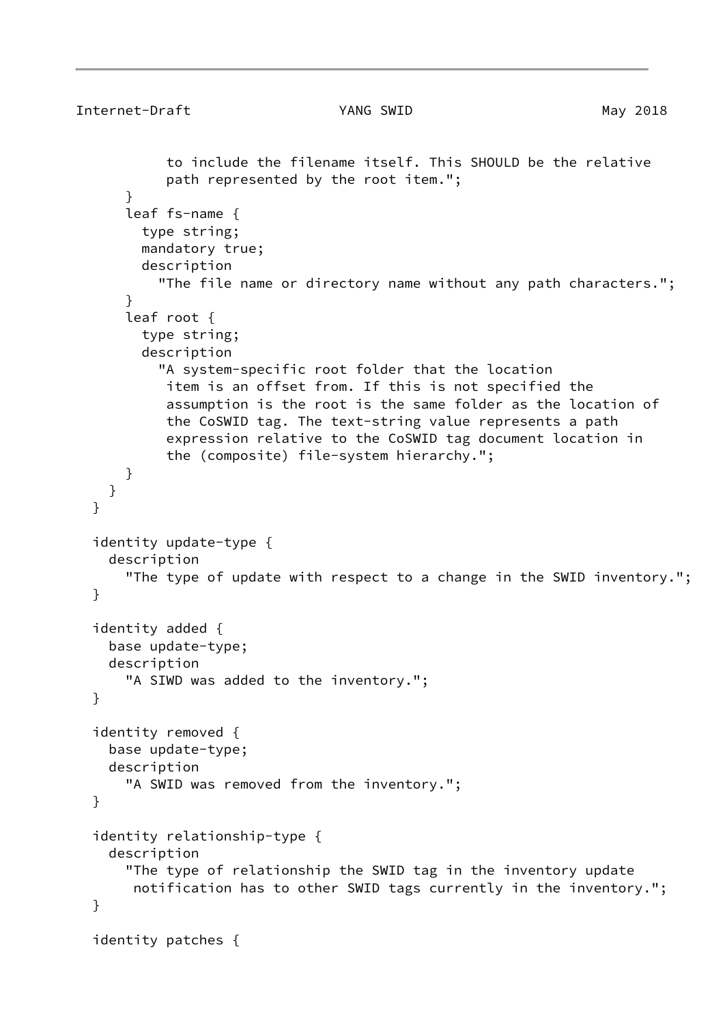```
Internet-Draft YANG SWID May 2018
            to include the filename itself. This SHOULD be the relative
            path represented by the root item.";
       }
       leaf fs-name {
         type string;
         mandatory true;
         description
           "The file name or directory name without any path characters.";
       }
       leaf root {
         type string;
         description
           "A system-specific root folder that the location
            item is an offset from. If this is not specified the
            assumption is the root is the same folder as the location of
            the CoSWID tag. The text-string value represents a path
            expression relative to the CoSWID tag document location in
            the (composite) file-system hierarchy.";
       }
     }
   }
   identity update-type {
     description
       "The type of update with respect to a change in the SWID inventory.";
   }
   identity added {
     base update-type;
     description
       "A SIWD was added to the inventory.";
   }
   identity removed {
     base update-type;
     description
       "A SWID was removed from the inventory.";
   }
   identity relationship-type {
     description
       "The type of relationship the SWID tag in the inventory update
        notification has to other SWID tags currently in the inventory.";
   }
   identity patches {
```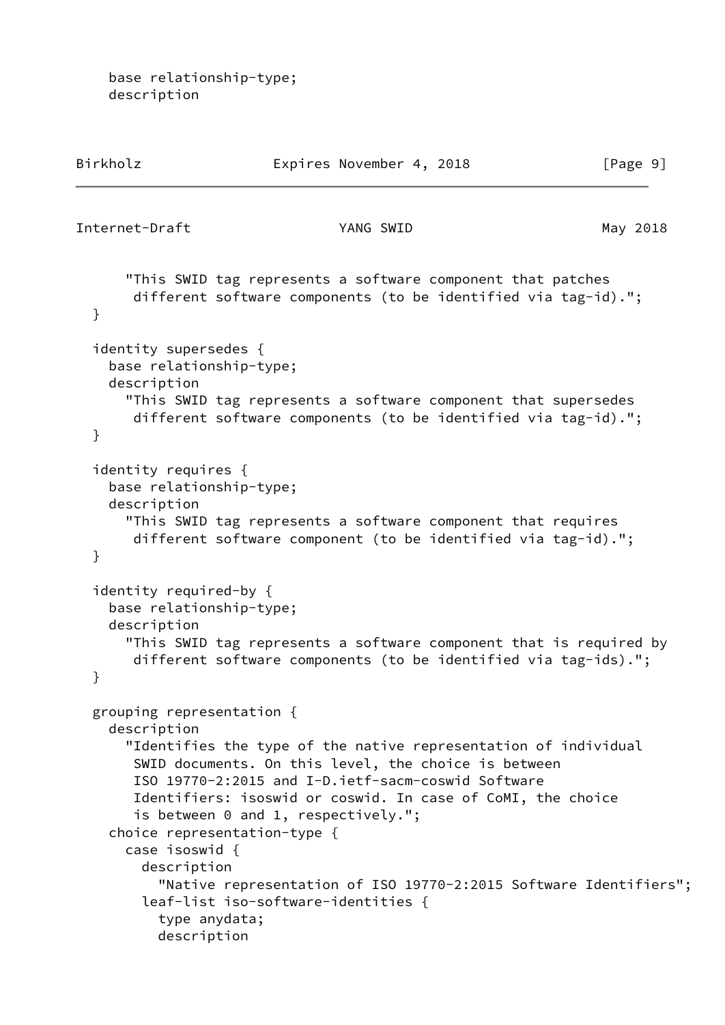base relationship-type; description

| Birkholz                                                                                                  | Expires November 4, 2018                                                                                                                                                                                                                                                                                                                                                                                                        | [Page 9] |
|-----------------------------------------------------------------------------------------------------------|---------------------------------------------------------------------------------------------------------------------------------------------------------------------------------------------------------------------------------------------------------------------------------------------------------------------------------------------------------------------------------------------------------------------------------|----------|
| Internet-Draft                                                                                            | YANG SWID                                                                                                                                                                                                                                                                                                                                                                                                                       | May 2018 |
| }                                                                                                         | "This SWID tag represents a software component that patches<br>different software components (to be identified via tag-id).";                                                                                                                                                                                                                                                                                                   |          |
| identity supersedes {<br>base relationship-type;<br>description<br>}                                      | "This SWID tag represents a software component that supersedes<br>different software components (to be identified via tag-id).";                                                                                                                                                                                                                                                                                                |          |
| identity requires {<br>base relationship-type;<br>description<br>}                                        | "This SWID tag represents a software component that requires<br>different software component (to be identified via tag-id).";                                                                                                                                                                                                                                                                                                   |          |
| identity required-by {<br>base relationship-type;<br>description<br>}                                     | "This SWID tag represents a software component that is required by<br>different software components (to be identified via tag-ids).";                                                                                                                                                                                                                                                                                           |          |
| grouping representation {<br>description<br>case isoswid {<br>description<br>type anydata;<br>description | "Identifies the type of the native representation of individual<br>SWID documents. On this level, the choice is between<br>ISO 19770-2:2015 and I-D.ietf-sacm-coswid Software<br>Identifiers: isoswid or coswid. In case of CoMI, the choice<br>is between 0 and 1, respectively.";<br>choice representation-type {<br>"Native representation of ISO 19770-2:2015 Software Identifiers";<br>leaf-list iso-software-identities { |          |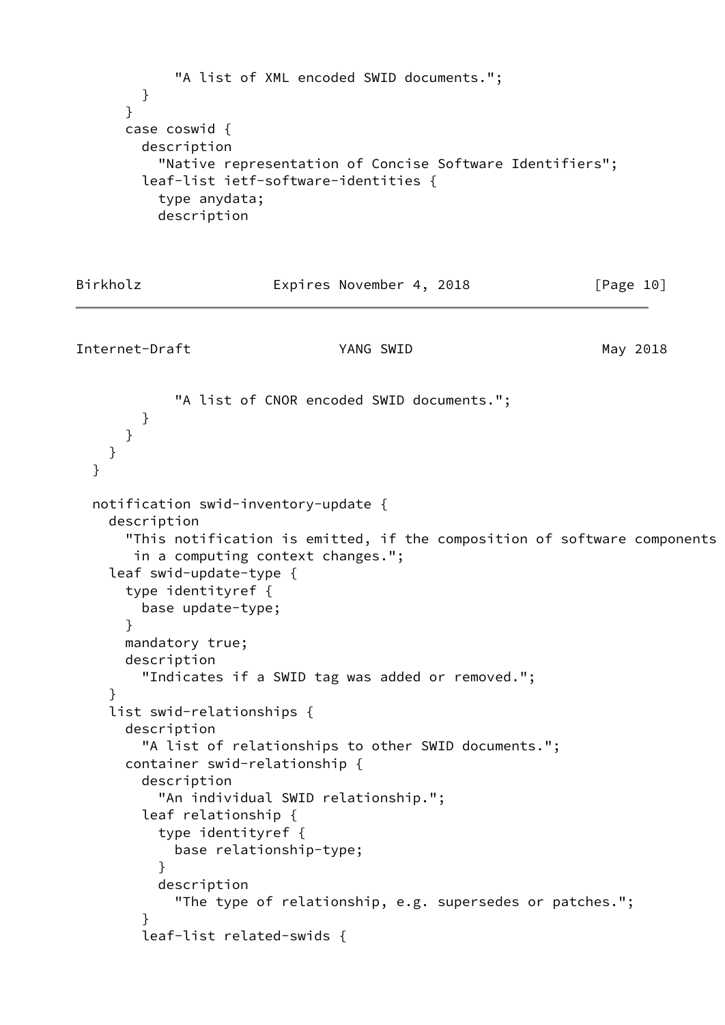```
 "A list of XML encoded SWID documents.";
        }
      }
      case coswid {
        description
          "Native representation of Concise Software Identifiers";
        leaf-list ietf-software-identities {
          type anydata;
          description
Birkholz Expires November 4, 2018 [Page 10]
Internet-Draft YANG SWID May 2018
            "A list of CNOR encoded SWID documents.";
        }
      }
    }
  }
  notification swid-inventory-update {
    description
      "This notification is emitted, if the composition of software components
       in a computing context changes.";
    leaf swid-update-type {
      type identityref {
        base update-type;
      }
      mandatory true;
      description
        "Indicates if a SWID tag was added or removed.";
     }
     list swid-relationships {
      description
        "A list of relationships to other SWID documents.";
      container swid-relationship {
        description
           "An individual SWID relationship.";
        leaf relationship {
          type identityref {
            base relationship-type;
 }
          description
            "The type of relationship, e.g. supersedes or patches.";
 }
        leaf-list related-swids {
```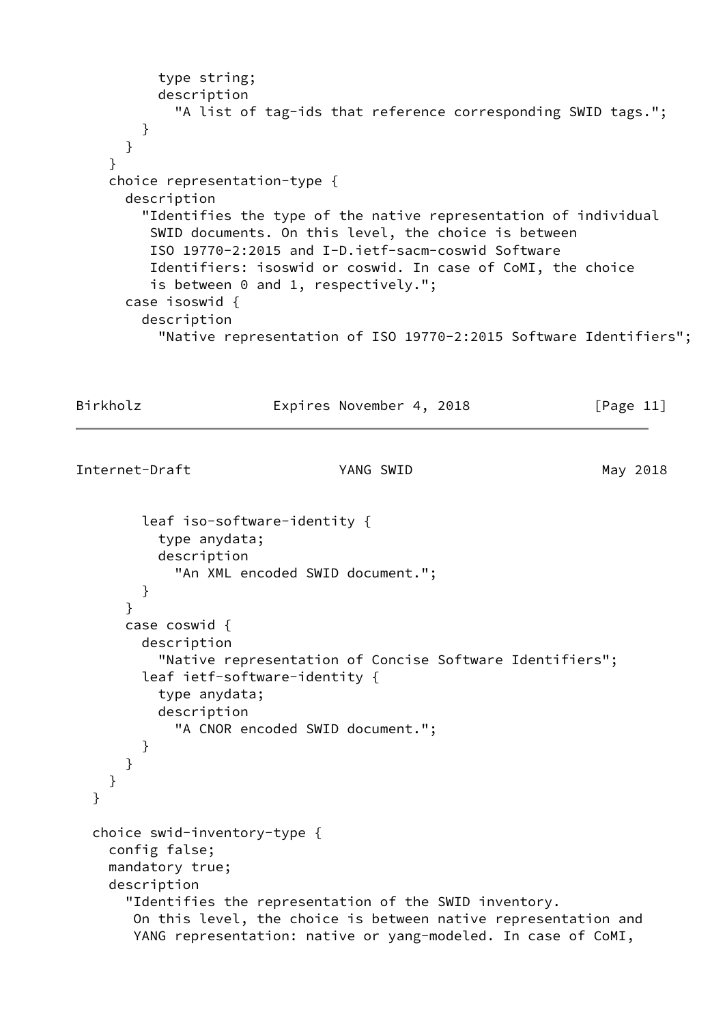```
 type string;
       description
        "A list of tag-ids that reference corresponding SWID tags.";
     }
  }
 }
 choice representation-type {
  description
     "Identifies the type of the native representation of individual
      SWID documents. On this level, the choice is between
      ISO 19770-2:2015 and I-D.ietf-sacm-coswid Software
      Identifiers: isoswid or coswid. In case of CoMI, the choice
      is between 0 and 1, respectively.";
  case isoswid {
     description
       "Native representation of ISO 19770-2:2015 Software Identifiers";
```
Birkholz **Expires November 4, 2018** [Page 11]

```
Internet-Draft YANG SWID May 2018
```

```
 leaf iso-software-identity {
         type anydata;
         description
           "An XML encoded SWID document.";
       }
     }
     case coswid {
       description
         "Native representation of Concise Software Identifiers";
       leaf ietf-software-identity {
         type anydata;
         description
           "A CNOR encoded SWID document.";
       }
     }
   }
 }
 choice swid-inventory-type {
   config false;
   mandatory true;
   description
     "Identifies the representation of the SWID inventory.
      On this level, the choice is between native representation and
      YANG representation: native or yang-modeled. In case of CoMI,
```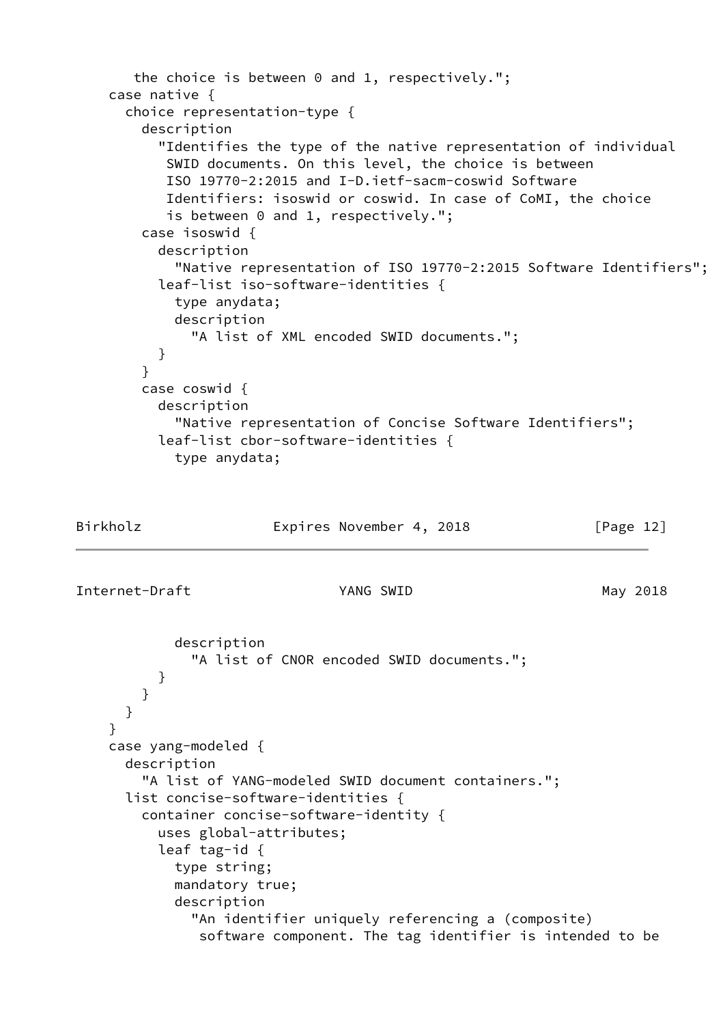```
 the choice is between 0 and 1, respectively.";
     case native {
       choice representation-type {
         description
           "Identifies the type of the native representation of individual
            SWID documents. On this level, the choice is between
            ISO 19770-2:2015 and I-D.ietf-sacm-coswid Software
            Identifiers: isoswid or coswid. In case of CoMI, the choice
           is between 0 and 1, respectively.";
        case isoswid {
          description
             "Native representation of ISO 19770-2:2015 Software Identifiers";
          leaf-list iso-software-identities {
            type anydata;
            description
               "A list of XML encoded SWID documents.";
          }
         }
        case coswid {
          description
             "Native representation of Concise Software Identifiers";
          leaf-list cbor-software-identities {
            type anydata;
Birkholz Expires November 4, 2018 [Page 12]
Internet-Draft YANG SWID May 2018
            description
               "A list of CNOR encoded SWID documents.";
 }
        }
      }
     }
     case yang-modeled {
      description
         "A list of YANG-modeled SWID document containers.";
      list concise-software-identities {
         container concise-software-identity {
          uses global-attributes;
          leaf tag-id {
            type string;
            mandatory true;
            description
               "An identifier uniquely referencing a (composite)
               software component. The tag identifier is intended to be
```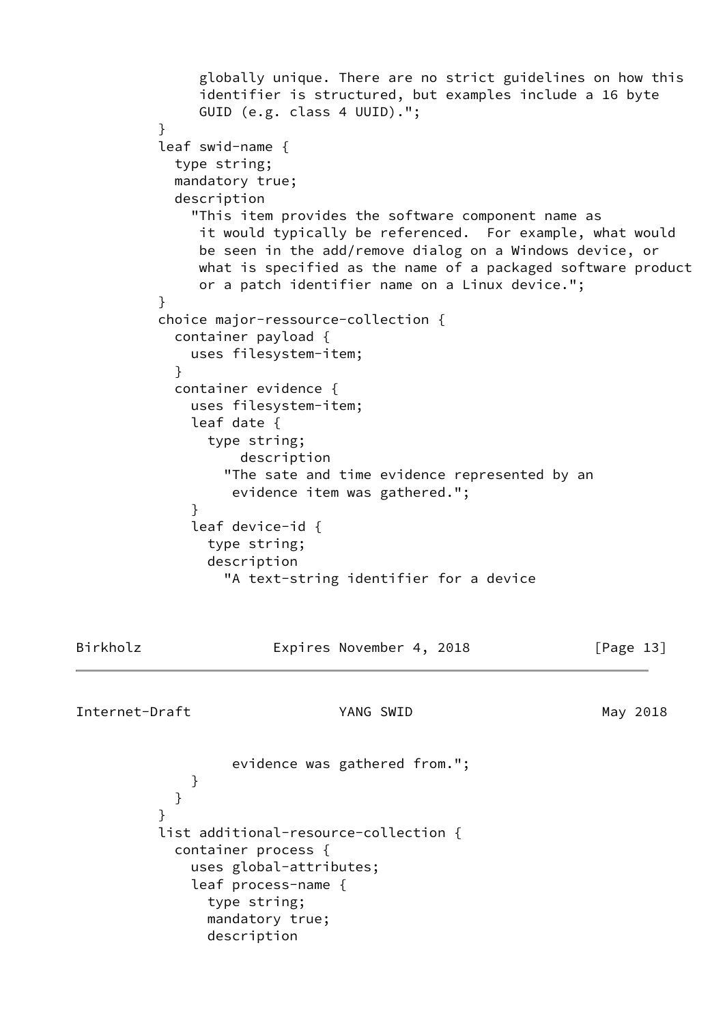```
 globally unique. There are no strict guidelines on how this
               identifier is structured, but examples include a 16 byte
               GUID (e.g. class 4 UUID).";
 }
          leaf swid-name {
            type string;
            mandatory true;
            description
              "This item provides the software component name as
               it would typically be referenced. For example, what would
               be seen in the add/remove dialog on a Windows device, or
               what is specified as the name of a packaged software product
               or a patch identifier name on a Linux device.";
 }
          choice major-ressource-collection {
            container payload {
              uses filesystem-item;
 }
            container evidence {
              uses filesystem-item;
              leaf date {
                type string;
                   description
                 "The sate and time evidence represented by an
                  evidence item was gathered.";
 }
              leaf device-id {
               type string;
               description
                 "A text-string identifier for a device
Birkholz Expires November 4, 2018 [Page 13]
Internet-Draft YANG SWID May 2018
                  evidence was gathered from.";
 }
 }
 }
          list additional-resource-collection {
            container process {
              uses global-attributes;
              leaf process-name {
                type string;
               mandatory true;
               description
```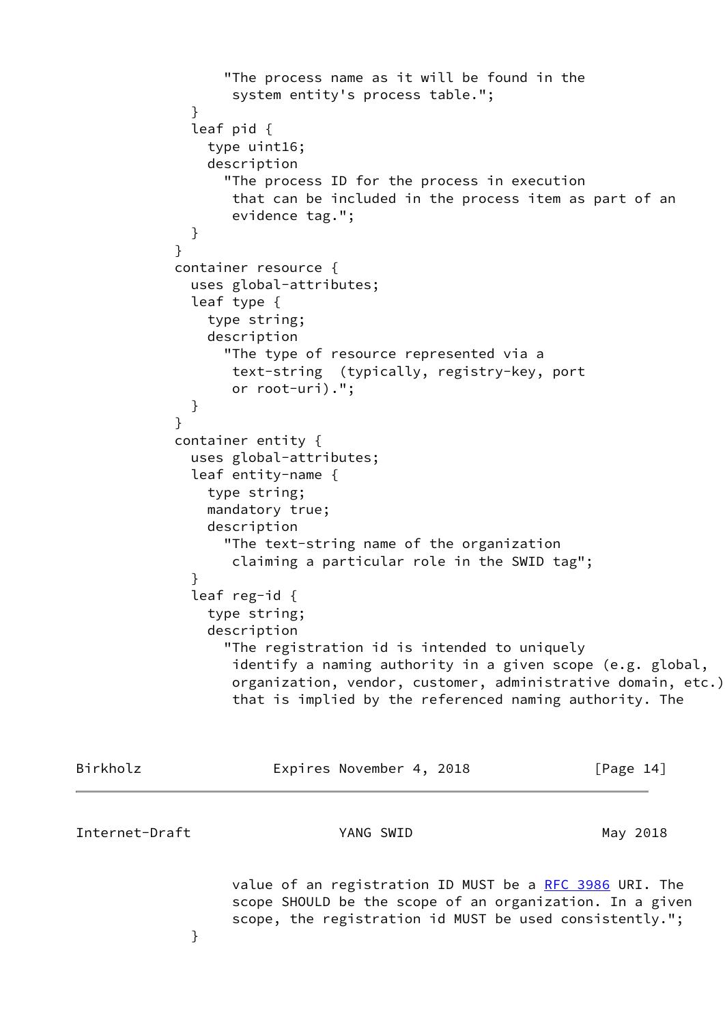```
 "The process name as it will be found in the
                   system entity's process table.";
 }
              leaf pid {
                type uint16;
                description
                  "The process ID for the process in execution
                   that can be included in the process item as part of an
                   evidence tag.";
 }
 }
            container resource {
              uses global-attributes;
              leaf type {
                type string;
                description
                  "The type of resource represented via a
                   text-string (typically, registry-key, port
                   or root-uri).";
 }
 }
            container entity {
              uses global-attributes;
              leaf entity-name {
                type string;
                mandatory true;
                description
                  "The text-string name of the organization
                   claiming a particular role in the SWID tag";
 }
              leaf reg-id {
                type string;
                description
                  "The registration id is intended to uniquely
                   identify a naming authority in a given scope (e.g. global,
                   organization, vendor, customer, administrative domain, etc.)
                   that is implied by the referenced naming authority. The
```

| Birkholz       | Expires November 4, 2018 | [Page $14$ ]                                                                                                                                                                   |
|----------------|--------------------------|--------------------------------------------------------------------------------------------------------------------------------------------------------------------------------|
| Internet-Draft | YANG SWID                | May 2018                                                                                                                                                                       |
|                |                          | value of an registration ID MUST be a RFC 3986 URI. The<br>scope SHOULD be the scope of an organization. In a given<br>scope, the registration id MUST be used consistently."; |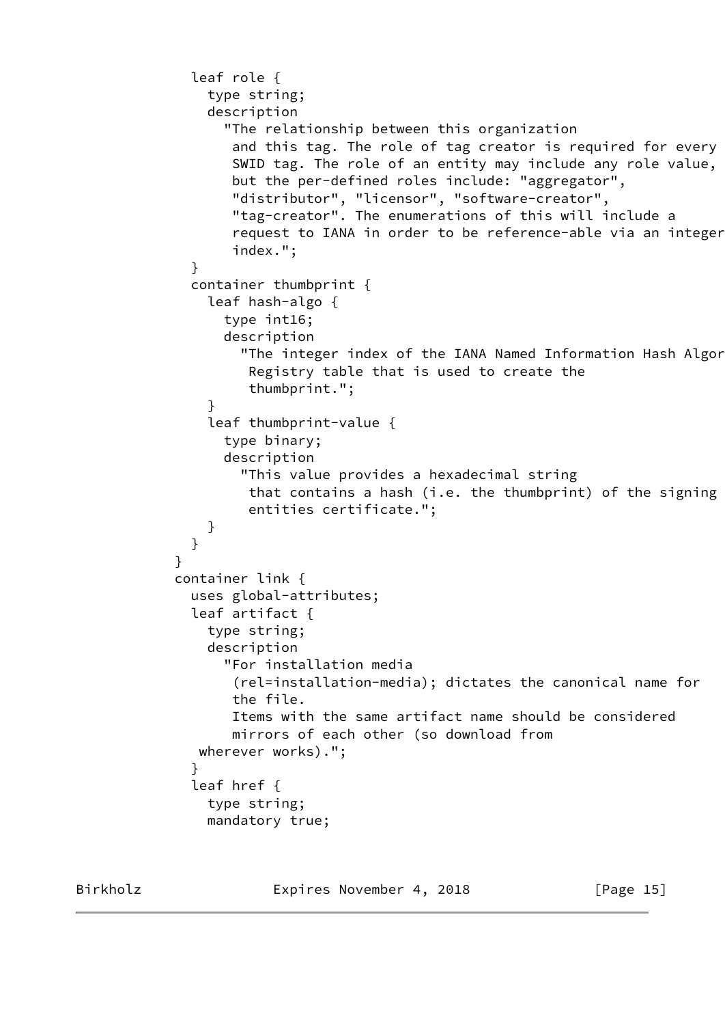```
 leaf role {
                type string;
                description
                  "The relationship between this organization
                   and this tag. The role of tag creator is required for every
                   SWID tag. The role of an entity may include any role value,
                   but the per-defined roles include: "aggregator",
                   "distributor", "licensor", "software-creator",
                   "tag-creator". The enumerations of this will include a
                   request to IANA in order to be reference-able via an integer
                   index.";
 }
              container thumbprint {
                leaf hash-algo {
                  type int16;
                  description
                   "The integer index of the IANA Named Information Hash Algor
                     Registry table that is used to create the
                     thumbprint.";
 }
                leaf thumbprint-value {
                  type binary;
                  description
                    "This value provides a hexadecimal string
                     that contains a hash (i.e. the thumbprint) of the signing
                     entities certificate.";
 }
 }
 }
            container link {
              uses global-attributes;
              leaf artifact {
                type string;
                description
                  "For installation media
                   (rel=installation-media); dictates the canonical name for
                   the file.
                   Items with the same artifact name should be considered
                   mirrors of each other (so download from
               wherever works).";
 }
              leaf href {
                type string;
                mandatory true;
```
Birkholz **Expires November 4, 2018** [Page 15]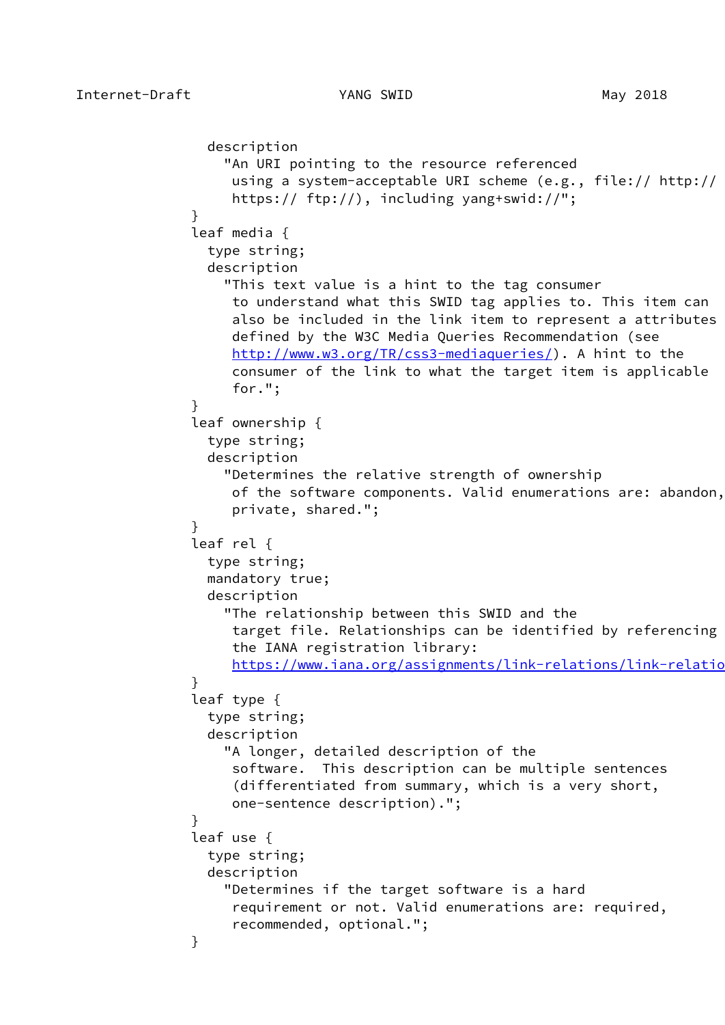```
 description
                  "An URI pointing to the resource referenced
                   using a system-acceptable URI scheme (e.g., file:// http://
                   https:// ftp://), including yang+swid://";
 }
              leaf media {
                type string;
                description
                  "This text value is a hint to the tag consumer
                   to understand what this SWID tag applies to. This item can
                   also be included in the link item to represent a attributes
                   defined by the W3C Media Queries Recommendation (see
                   http://www.w3.org/TR/css3-mediaqueries/). A hint to the
                   consumer of the link to what the target item is applicable
                   for.";
 }
              leaf ownership {
                type string;
                description
                  "Determines the relative strength of ownership
                   of the software components. Valid enumerations are: abandon,
                   private, shared.";
 }
              leaf rel {
                type string;
                mandatory true;
                description
                  "The relationship between this SWID and the
                   target file. Relationships can be identified by referencing
                   the IANA registration library:
                  https://www.iana.org/assignments/link-relations/link-relations
 }
              leaf type {
                type string;
                description
                  "A longer, detailed description of the
                   software. This description can be multiple sentences
                   (differentiated from summary, which is a very short,
                   one-sentence description).";
 }
              leaf use {
                type string;
                description
                  "Determines if the target software is a hard
                   requirement or not. Valid enumerations are: required,
                   recommended, optional.";
 }
```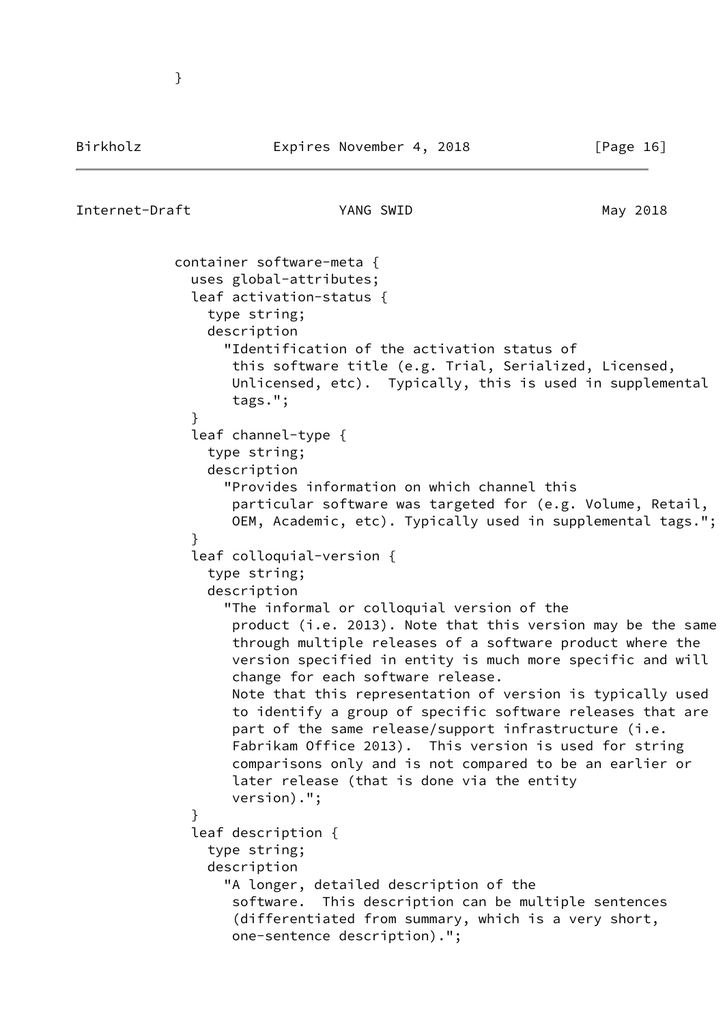## Internet-Draft YANG SWID May 2018

}

```
 container software-meta {
               uses global-attributes;
               leaf activation-status {
                 type string;
                 description
                   "Identification of the activation status of
                    this software title (e.g. Trial, Serialized, Licensed,
                    Unlicensed, etc). Typically, this is used in supplemental
                    tags.";
 }
               leaf channel-type {
                 type string;
                 description
                   "Provides information on which channel this
                    particular software was targeted for (e.g. Volume, Retail,
                    OEM, Academic, etc). Typically used in supplemental tags.";
 }
               leaf colloquial-version {
                 type string;
                 description
                   "The informal or colloquial version of the
                    product (i.e. 2013). Note that this version may be the same
                    through multiple releases of a software product where the
                    version specified in entity is much more specific and will
                    change for each software release.
                    Note that this representation of version is typically used
                    to identify a group of specific software releases that are
                   part of the same release/support infrastructure (i.e.
                    Fabrikam Office 2013). This version is used for string
                    comparisons only and is not compared to be an earlier or
                    later release (that is done via the entity
                    version).";
 }
               leaf description {
                 type string;
                 description
                   "A longer, detailed description of the
                    software. This description can be multiple sentences
                    (differentiated from summary, which is a very short,
                    one-sentence description).";
```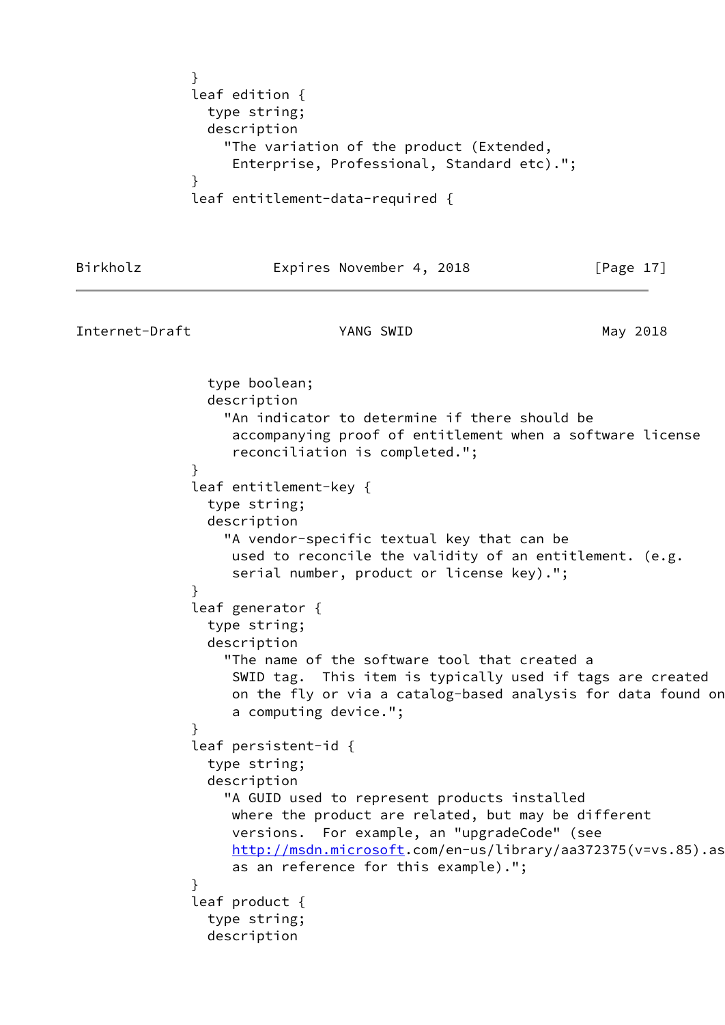```
 }
             leaf edition {
               type string;
               description
                 "The variation of the product (Extended,
                  Enterprise, Professional, Standard etc).";
 }
             leaf entitlement-data-required {
```

|  |  | Birkholz |
|--|--|----------|
|  |  |          |

Expires November 4, 2018 [Page 17]

```
Internet-Draft YANG SWID May 2018
                type boolean;
                description
                  "An indicator to determine if there should be
                   accompanying proof of entitlement when a software license
                   reconciliation is completed.";
 }
              leaf entitlement-key {
                type string;
                description
                  "A vendor-specific textual key that can be
                   used to reconcile the validity of an entitlement. (e.g.
                   serial number, product or license key).";
 }
              leaf generator {
                type string;
                description
                  "The name of the software tool that created a
                   SWID tag. This item is typically used if tags are created
                   on the fly or via a catalog-based analysis for data found on
                   a computing device.";
 }
              leaf persistent-id {
                type string;
                description
                  "A GUID used to represent products installed
                   where the product are related, but may be different
                   versions. For example, an "upgradeCode" (see
                  http://msdn.microsoft.com/en-us/library/aa372375(v=vs.85).as
                   as an reference for this example).";
 }
              leaf product {
                type string;
                description
```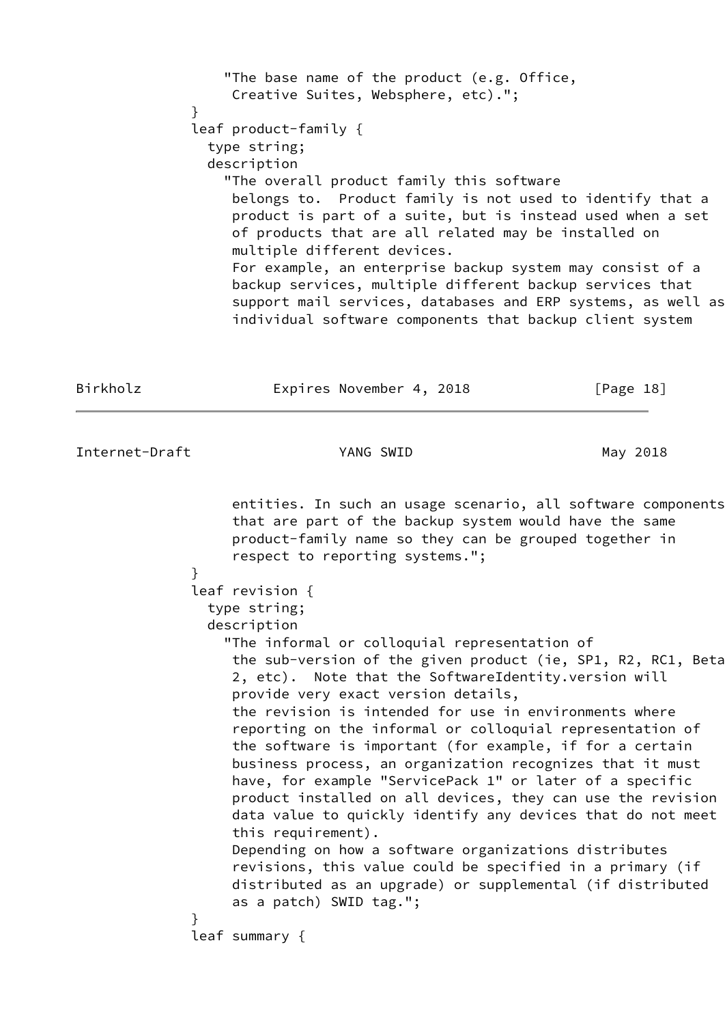"The base name of the product (e.g. Office, Creative Suites, Websphere, etc)."; } leaf product-family { type string; description "The overall product family this software belongs to. Product family is not used to identify that a product is part of a suite, but is instead used when a set of products that are all related may be installed on multiple different devices. For example, an enterprise backup system may consist of a backup services, multiple different backup services that support mail services, databases and ERP systems, as well as individual software components that backup client system

Birkholz **Expires November 4, 2018** [Page 18]

Internet-Draft **YANG SWID** May 2018

 entities. In such an usage scenario, all software components that are part of the backup system would have the same product-family name so they can be grouped together in respect to reporting systems."; } leaf revision { type string; description "The informal or colloquial representation of the sub-version of the given product (ie, SP1, R2, RC1, Beta 2, etc). Note that the SoftwareIdentity.version will provide very exact version details, the revision is intended for use in environments where reporting on the informal or colloquial representation of the software is important (for example, if for a certain business process, an organization recognizes that it must have, for example "ServicePack 1" or later of a specific product installed on all devices, they can use the revision data value to quickly identify any devices that do not meet this requirement). Depending on how a software organizations distributes revisions, this value could be specified in a primary (if distributed as an upgrade) or supplemental (if distributed as a patch) SWID tag."; } leaf summary {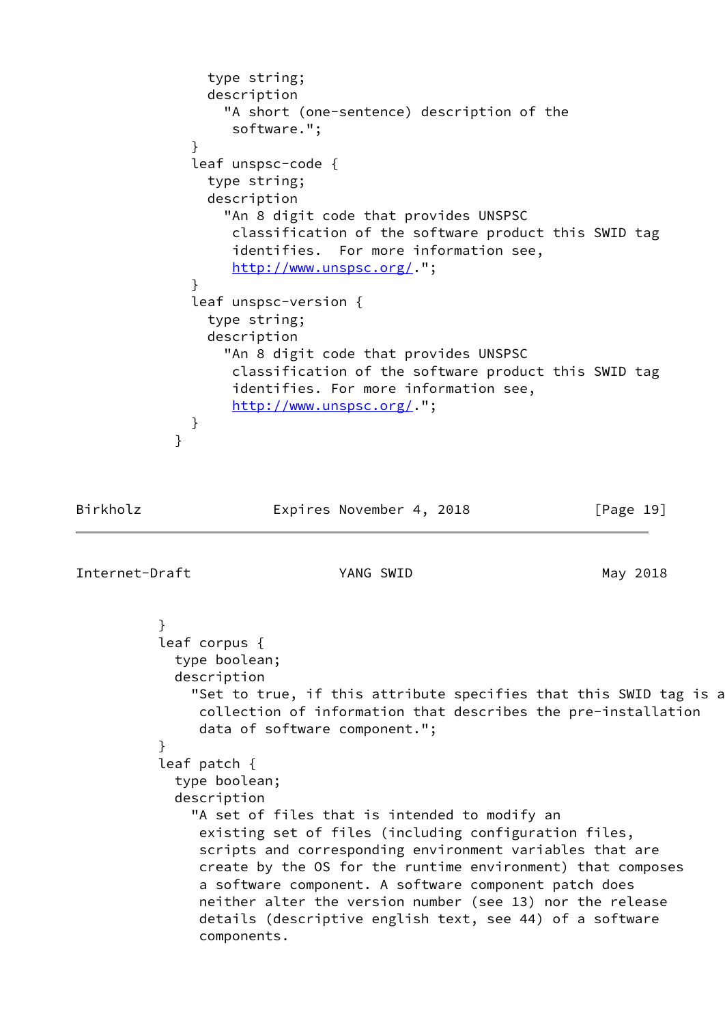```
 type string;
                description
                  "A short (one-sentence) description of the
                   software.";
 }
              leaf unspsc-code {
                type string;
                description
                  "An 8 digit code that provides UNSPSC
                   classification of the software product this SWID tag
                   identifies. For more information see,
                   http://www.unspsc.org/.";
 }
              leaf unspsc-version {
                type string;
                description
                  "An 8 digit code that provides UNSPSC
                   classification of the software product this SWID tag
                   identifies. For more information see,
                   http://www.unspsc.org/.";
 }
 }
```

```
Birkholz Expires November 4, 2018 [Page 19]
```
Internet-Draft YANG SWID May 2018

```
 }
           leaf corpus {
            type boolean;
            description
               "Set to true, if this attribute specifies that this SWID tag is a
                collection of information that describes the pre-installation
                data of software component.";
 }
           leaf patch {
            type boolean;
            description
               "A set of files that is intended to modify an
                existing set of files (including configuration files,
                scripts and corresponding environment variables that are
                create by the OS for the runtime environment) that composes
                a software component. A software component patch does
                neither alter the version number (see 13) nor the release
                details (descriptive english text, see 44) of a software
                components.
```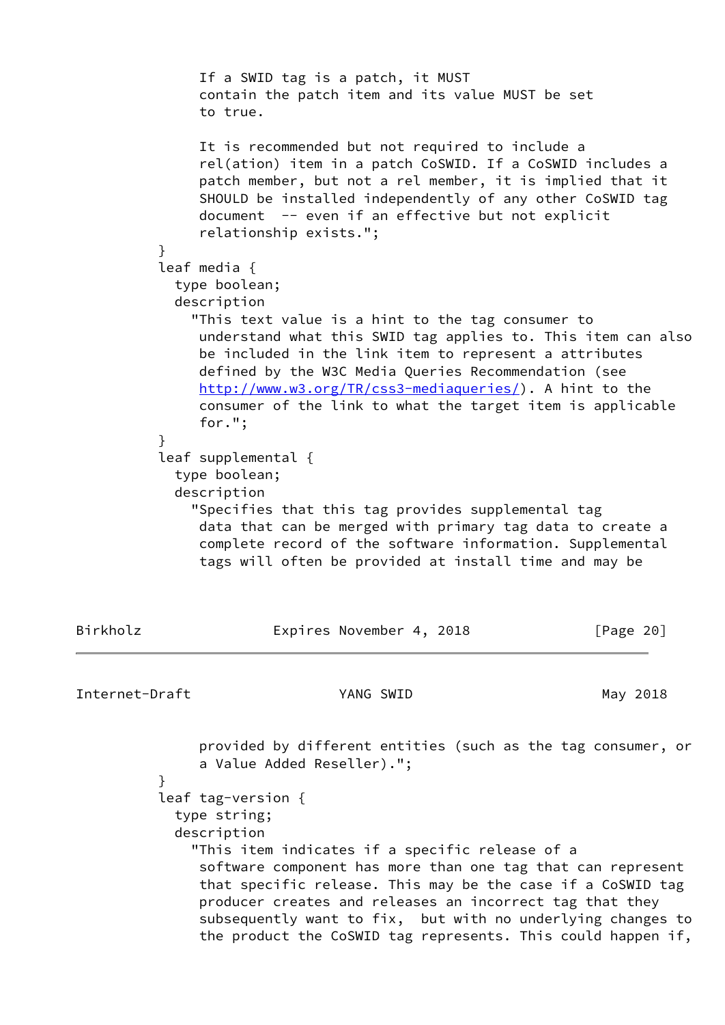|                | }             | provided by different entities (such as the tag consumer, or<br>a Value Added Reseller).";<br>leaf tag-version {<br>type string;<br>description<br>"This item indicates if a specific release of a<br>software component has more than one tag that can represent<br>that specific release. This may be the case if a CoSWID tag<br>producer creates and releases an incorrect tag that they<br>subsequently want to fix, but with no underlying changes to<br>the product the CoSWID tag represents. This could happen if,                                                                                                                                                                                                |           |
|----------------|---------------|----------------------------------------------------------------------------------------------------------------------------------------------------------------------------------------------------------------------------------------------------------------------------------------------------------------------------------------------------------------------------------------------------------------------------------------------------------------------------------------------------------------------------------------------------------------------------------------------------------------------------------------------------------------------------------------------------------------------------|-----------|
| Internet-Draft |               | YANG SWID                                                                                                                                                                                                                                                                                                                                                                                                                                                                                                                                                                                                                                                                                                                  | May 2018  |
| Birkholz       |               | Expires November 4, 2018                                                                                                                                                                                                                                                                                                                                                                                                                                                                                                                                                                                                                                                                                                   | [Page 20] |
|                | }             | leaf media $\{$<br>type boolean;<br>description<br>"This text value is a hint to the tag consumer to<br>understand what this SWID tag applies to. This item can also<br>be included in the link item to represent a attributes<br>defined by the W3C Media Queries Recommendation (see<br>http://www.w3.org/TR/css3-mediaqueries/). A hint to the<br>consumer of the link to what the target item is applicable<br>for.";<br>leaf supplemental {<br>type boolean;<br>description<br>"Specifies that this tag provides supplemental tag<br>data that can be merged with primary tag data to create a<br>complete record of the software information. Supplemental<br>tags will often be provided at install time and may be |           |
|                | $\mathcal{F}$ | contain the patch item and its value MUST be set<br>to true.<br>It is recommended but not required to include a<br>rel(ation) item in a patch CoSWID. If a CoSWID includes a<br>patch member, but not a rel member, it is implied that it<br>SHOULD be installed independently of any other CoSWID tag<br>document -- even if an effective but not explicit<br>relationship exists.";                                                                                                                                                                                                                                                                                                                                      |           |
|                |               | If a SWID tag is a patch, it MUST                                                                                                                                                                                                                                                                                                                                                                                                                                                                                                                                                                                                                                                                                          |           |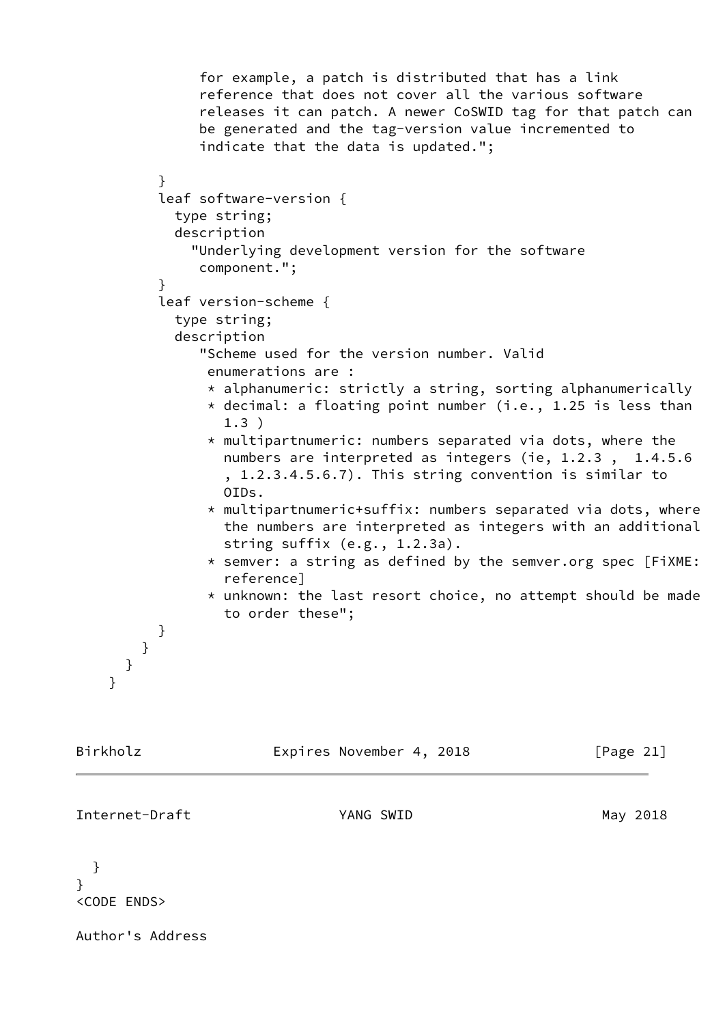```
 for example, a patch is distributed that has a link
               reference that does not cover all the various software
               releases it can patch. A newer CoSWID tag for that patch can
               be generated and the tag-version value incremented to
               indicate that the data is updated.";
 }
          leaf software-version {
            type string;
            description
              "Underlying development version for the software
               component.";
 }
          leaf version-scheme {
            type string;
            description
               "Scheme used for the version number. Valid
                enumerations are :
                * alphanumeric: strictly a string, sorting alphanumerically
               * decimal: a floating point number (i.e., 1.25 is less than
                  1.3 )
                * multipartnumeric: numbers separated via dots, where the
                  numbers are interpreted as integers (ie, 1.2.3 , 1.4.5.6
                  , 1.2.3.4.5.6.7). This string convention is similar to
                  OIDs.
                * multipartnumeric+suffix: numbers separated via dots, where
                  the numbers are interpreted as integers with an additional
                  string suffix (e.g., 1.2.3a).
                * semver: a string as defined by the semver.org spec [FiXME:
                  reference]
                * unknown: the last resort choice, no attempt should be made
                  to order these";
          }
        }
      }
    }
Birkholz Expires November 4, 2018 [Page 21]
Internet-Draft YANG SWID May 2018
```

```
 }
}
<CODE ENDS>
```
Author's Address